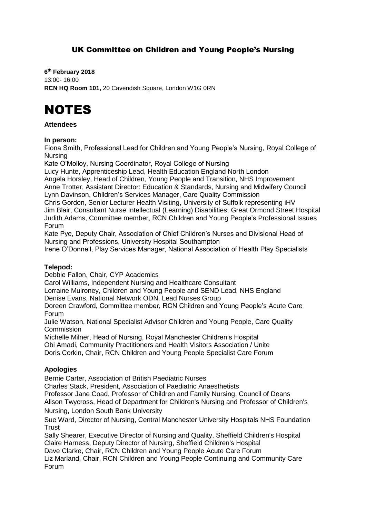# UK Committee on Children and Young People's Nursing

**6 th February 2018** 13:00- 16:00 **RCN HQ Room 101,** 20 Cavendish Square, London W1G 0RN

# NOTES

## **Attendees**

#### **In person:**

Fiona Smith, Professional Lead for Children and Young People's Nursing, Royal College of Nursing

Kate O'Molloy, Nursing Coordinator, Royal College of Nursing

Lucy Hunte, Apprenticeship Lead, Health Education England North London

Angela Horsley, Head of Children, Young People and Transition, NHS Improvement Anne Trotter, Assistant Director: Education & Standards, Nursing and Midwifery Council Lynn Davinson, Children's Services Manager, Care Quality Commission

Chris Gordon, Senior Lecturer Health Visiting, University of Suffolk representing iHV Jim Blair, Consultant Nurse Intellectual (Learning) Disabilities, Great Ormond Street Hospital Judith Adams, Committee member, RCN Children and Young People's Professional Issues Forum

Kate Pye, Deputy Chair, Association of Chief Children's Nurses and Divisional Head of Nursing and Professions, University Hospital Southampton

Irene O'Donnell, Play Services Manager, National Association of Health Play Specialists

## **Telepod:**

Debbie Fallon, Chair, CYP Academics

Carol Williams, Independent Nursing and Healthcare Consultant

Lorraine Mulroney, Children and Young People and SEND Lead, NHS England

Denise Evans, National Network ODN, Lead Nurses Group

Doreen Crawford, Committee member, RCN Children and Young People's Acute Care Forum

Julie Watson, National Specialist Advisor Children and Young People, Care Quality Commission

Michelle Milner, Head of Nursing, Royal Manchester Children's Hospital

Obi Amadi, Community Practitioners and Health Visitors Association / Unite

Doris Corkin, Chair, RCN Children and Young People Specialist Care Forum

## **Apologies**

Bernie Carter, Association of British Paediatric Nurses

Charles Stack, President, Association of Paediatric Anaesthetists

Professor Jane Coad, Professor of Children and Family Nursing, Council of Deans

Alison Twycross, Head of Department for Children's Nursing and Professor of Children's Nursing, London South Bank University

Sue Ward, Director of Nursing, Central Manchester University Hospitals NHS Foundation **Trust** 

Sally Shearer, Executive Director of Nursing and Quality, Sheffield Children's Hospital Claire Harness, Deputy Director of Nursing, Sheffield Children's Hospital Dave Clarke, Chair, RCN Children and Young People Acute Care Forum

Liz Marland, Chair, RCN Children and Young People Continuing and Community Care Forum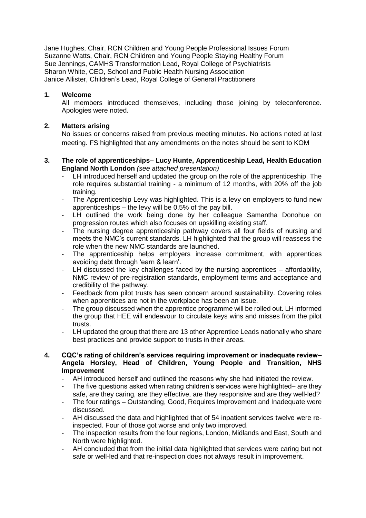Jane Hughes, Chair, RCN Children and Young People Professional Issues Forum Suzanne Watts, Chair, RCN Children and Young People Staying Healthy Forum Sue Jennings, CAMHS Transformation Lead, Royal College of Psychiatrists Sharon White, CEO, School and Public Health Nursing Association Janice Allister, Children's Lead, Royal College of General Practitioners

# **1. Welcome**

All members introduced themselves, including those joining by teleconference. Apologies were noted.

# **2. Matters arising**

No issues or concerns raised from previous meeting minutes. No actions noted at last meeting. FS highlighted that any amendments on the notes should be sent to KOM

## **3. The role of apprenticeships– Lucy Hunte, Apprenticeship Lead, Health Education England North London** *(see attached presentation)*

- LH introduced herself and updated the group on the role of the apprenticeship. The role requires substantial training - a minimum of 12 months, with 20% off the job training.
- The Apprenticeship Levy was highlighted. This is a levy on employers to fund new apprenticeships – the levy will be 0.5% of the pay bill.
- LH outlined the work being done by her colleague Samantha Donohue on progression routes which also focuses on upskilling existing staff.
- The nursing degree apprenticeship pathway covers all four fields of nursing and meets the NMC's current standards. LH highlighted that the group will reassess the role when the new NMC standards are launched.
- The apprenticeship helps employers increase commitment, with apprentices avoiding debt through 'earn & learn'.
- LH discussed the key challenges faced by the nursing apprentices affordability, NMC review of pre-registration standards, employment terms and acceptance and credibility of the pathway.
- Feedback from pilot trusts has seen concern around sustainability. Covering roles when apprentices are not in the workplace has been an issue.
- The group discussed when the apprentice programme will be rolled out. LH informed the group that HEE will endeavour to circulate keys wins and misses from the pilot trusts.
- LH updated the group that there are 13 other Apprentice Leads nationally who share best practices and provide support to trusts in their areas.

#### **4. CQC's rating of children's services requiring improvement or inadequate review– Angela Horsley, Head of Children, Young People and Transition, NHS Improvement**

- AH introduced herself and outlined the reasons why she had initiated the review.
- The five questions asked when rating children's services were highlighted– are they safe, are they caring, are they effective, are they responsive and are they well-led?
- The four ratings Outstanding, Good, Requires Improvement and Inadequate were discussed.
- AH discussed the data and highlighted that of 54 inpatient services twelve were reinspected. Four of those got worse and only two improved.
- The inspection results from the four regions, London, Midlands and East, South and North were highlighted.
- AH concluded that from the initial data highlighted that services were caring but not safe or well-led and that re-inspection does not always result in improvement.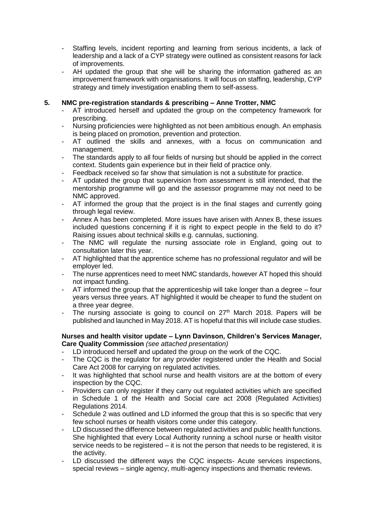- Staffing levels, incident reporting and learning from serious incidents, a lack of leadership and a lack of a CYP strategy were outlined as consistent reasons for lack of improvements.
- AH updated the group that she will be sharing the information gathered as an improvement framework with organisations. It will focus on staffing, leadership, CYP strategy and timely investigation enabling them to self-assess.

# **5. NMC pre-registration standards & prescribing – Anne Trotter, NMC**

- AT introduced herself and updated the group on the competency framework for prescribing.
- Nursing proficiencies were highlighted as not been ambitious enough. An emphasis is being placed on promotion, prevention and protection.
- AT outlined the skills and annexes, with a focus on communication and management.
- The standards apply to all four fields of nursing but should be applied in the correct context. Students gain experience but in their field of practice only.
- Feedback received so far show that simulation is not a substitute for practice.
- AT updated the group that supervision from assessment is still intended, that the mentorship programme will go and the assessor programme may not need to be NMC approved.
- AT informed the group that the project is in the final stages and currently going through legal review.
- Annex A has been completed. More issues have arisen with Annex B, these issues included questions concerning if it is right to expect people in the field to do it? Raising issues about technical skills e.g. cannulas, suctioning.
- The NMC will regulate the nursing associate role in England, going out to consultation later this year.
- AT highlighted that the apprentice scheme has no professional regulator and will be employer led.
- The nurse apprentices need to meet NMC standards, however AT hoped this should not impact funding.
- AT informed the group that the apprenticeship will take longer than a degree four years versus three years. AT highlighted it would be cheaper to fund the student on a three year degree.
- The nursing associate is going to council on  $27<sup>th</sup>$  March 2018. Papers will be published and launched in May 2018. AT is hopeful that this will include case studies.

#### **Nurses and health visitor update – Lynn Davinson, Children's Services Manager, Care Quality Commission** *(see attached presentation)*

- LD introduced herself and updated the group on the work of the CQC.
- The CQC is the regulator for any provider registered under the Health and Social Care Act 2008 for carrying on regulated activities.
- It was highlighted that school nurse and health visitors are at the bottom of every inspection by the CQC.
- Providers can only register if they carry out regulated activities which are specified in Schedule 1 of the Health and Social care act 2008 (Regulated Activities) Regulations 2014.
- Schedule 2 was outlined and LD informed the group that this is so specific that very few school nurses or health visitors come under this category.
- LD discussed the difference between regulated activities and public health functions. She highlighted that every Local Authority running a school nurse or health visitor service needs to be registered – it is not the person that needs to be registered, it is the activity.
- LD discussed the different ways the CQC inspects- Acute services inspections, special reviews – single agency, multi-agency inspections and thematic reviews.